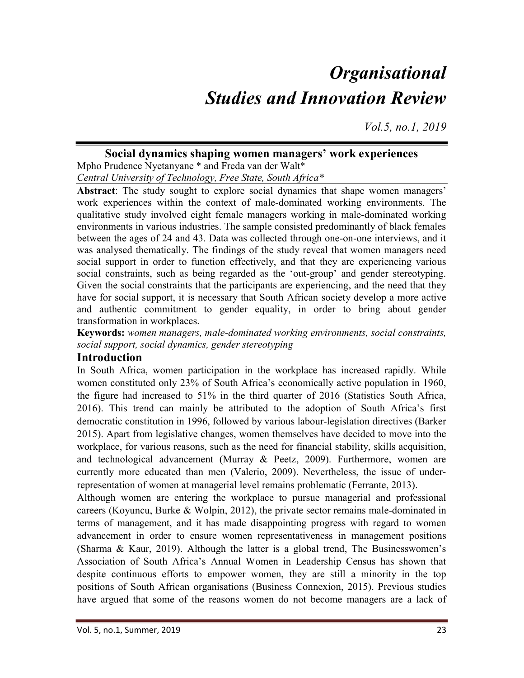# **Organisational** Studies and Innovation Review

Vol.5, no.1, 2019

# Social dynamics shaping women managers' work experiences

Mpho Prudence Nyetanyane \* and Freda van der Walt\* Central University of Technology, Free State, South Africa\*

Abstract: The study sought to explore social dynamics that shape women managers' work experiences within the context of male-dominated working environments. The qualitative study involved eight female managers working in male-dominated working environments in various industries. The sample consisted predominantly of black females between the ages of 24 and 43. Data was collected through one-on-one interviews, and it was analysed thematically. The findings of the study reveal that women managers need social support in order to function effectively, and that they are experiencing various social constraints, such as being regarded as the 'out-group' and gender stereotyping. Given the social constraints that the participants are experiencing, and the need that they have for social support, it is necessary that South African society develop a more active and authentic commitment to gender equality, in order to bring about gender transformation in workplaces.

Keywords: women managers, male-dominated working environments, social constraints, social support, social dynamics, gender stereotyping

## Introduction

In South Africa, women participation in the workplace has increased rapidly. While women constituted only 23% of South Africa's economically active population in 1960, the figure had increased to 51% in the third quarter of 2016 (Statistics South Africa, 2016). This trend can mainly be attributed to the adoption of South Africa's first democratic constitution in 1996, followed by various labour-legislation directives (Barker 2015). Apart from legislative changes, women themselves have decided to move into the workplace, for various reasons, such as the need for financial stability, skills acquisition, and technological advancement (Murray & Peetz, 2009). Furthermore, women are currently more educated than men (Valerio, 2009). Nevertheless, the issue of underrepresentation of women at managerial level remains problematic (Ferrante, 2013).

Although women are entering the workplace to pursue managerial and professional careers (Koyuncu, Burke & Wolpin, 2012), the private sector remains male-dominated in terms of management, and it has made disappointing progress with regard to women advancement in order to ensure women representativeness in management positions (Sharma & Kaur, 2019). Although the latter is a global trend, The Businesswomen's Association of South Africa's Annual Women in Leadership Census has shown that despite continuous efforts to empower women, they are still a minority in the top positions of South African organisations (Business Connexion, 2015). Previous studies have argued that some of the reasons women do not become managers are a lack of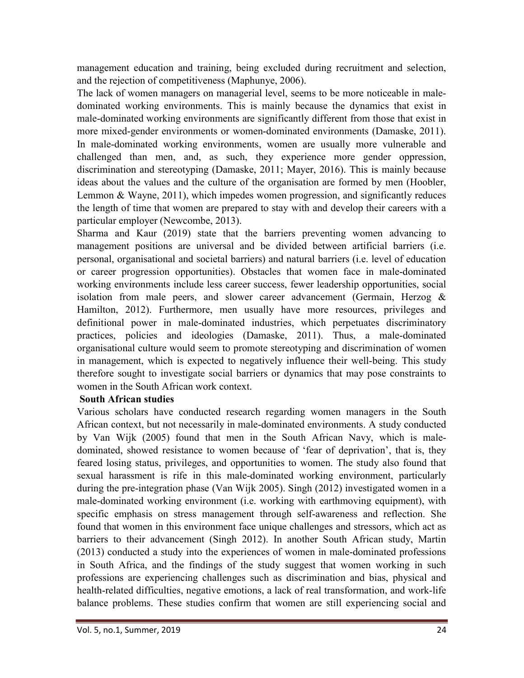management education and training, being excluded during recruitment and selection, and the rejection of competitiveness (Maphunye, 2006).

The lack of women managers on managerial level, seems to be more noticeable in maledominated working environments. This is mainly because the dynamics that exist in male-dominated working environments are significantly different from those that exist in more mixed-gender environments or women-dominated environments (Damaske, 2011). In male-dominated working environments, women are usually more vulnerable and challenged than men, and, as such, they experience more gender oppression, discrimination and stereotyping (Damaske, 2011; Mayer, 2016). This is mainly because ideas about the values and the culture of the organisation are formed by men (Hoobler, Lemmon & Wayne, 2011), which impedes women progression, and significantly reduces the length of time that women are prepared to stay with and develop their careers with a particular employer (Newcombe, 2013).

Sharma and Kaur (2019) state that the barriers preventing women advancing to management positions are universal and be divided between artificial barriers (i.e. personal, organisational and societal barriers) and natural barriers (i.e. level of education or career progression opportunities). Obstacles that women face in male-dominated working environments include less career success, fewer leadership opportunities, social isolation from male peers, and slower career advancement (Germain, Herzog  $\&$ Hamilton, 2012). Furthermore, men usually have more resources, privileges and definitional power in male-dominated industries, which perpetuates discriminatory practices, policies and ideologies (Damaske, 2011). Thus, a male-dominated organisational culture would seem to promote stereotyping and discrimination of women in management, which is expected to negatively influence their well-being. This study therefore sought to investigate social barriers or dynamics that may pose constraints to women in the South African work context.

#### South African studies

Various scholars have conducted research regarding women managers in the South African context, but not necessarily in male-dominated environments. A study conducted by Van Wijk (2005) found that men in the South African Navy, which is maledominated, showed resistance to women because of 'fear of deprivation', that is, they feared losing status, privileges, and opportunities to women. The study also found that sexual harassment is rife in this male-dominated working environment, particularly during the pre-integration phase (Van Wijk 2005). Singh (2012) investigated women in a male-dominated working environment (i.e. working with earthmoving equipment), with specific emphasis on stress management through self-awareness and reflection. She found that women in this environment face unique challenges and stressors, which act as barriers to their advancement (Singh 2012). In another South African study, Martin (2013) conducted a study into the experiences of women in male-dominated professions in South Africa, and the findings of the study suggest that women working in such professions are experiencing challenges such as discrimination and bias, physical and health-related difficulties, negative emotions, a lack of real transformation, and work-life balance problems. These studies confirm that women are still experiencing social and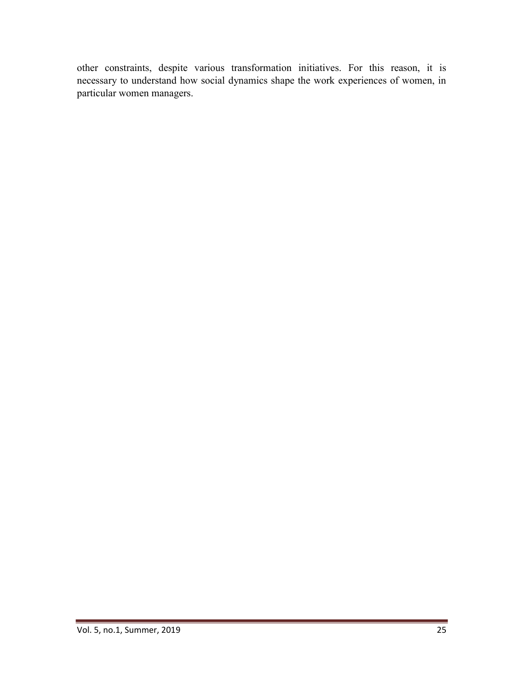other constraints, despite various transformation initiatives. For this reason, it is necessary to understand how social dynamics shape the work experiences of women, in particular women managers.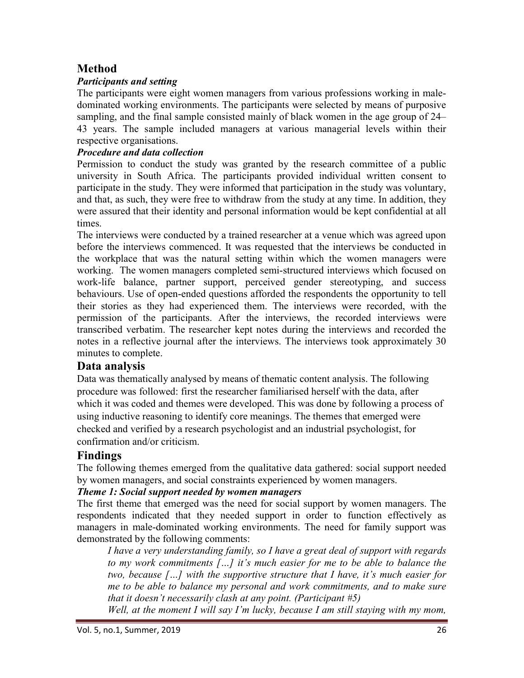# Method

## Participants and setting

The participants were eight women managers from various professions working in maledominated working environments. The participants were selected by means of purposive sampling, and the final sample consisted mainly of black women in the age group of 24– 43 years. The sample included managers at various managerial levels within their respective organisations.

#### Procedure and data collection

Permission to conduct the study was granted by the research committee of a public university in South Africa. The participants provided individual written consent to participate in the study. They were informed that participation in the study was voluntary, and that, as such, they were free to withdraw from the study at any time. In addition, they were assured that their identity and personal information would be kept confidential at all times.

The interviews were conducted by a trained researcher at a venue which was agreed upon before the interviews commenced. It was requested that the interviews be conducted in the workplace that was the natural setting within which the women managers were working. The women managers completed semi-structured interviews which focused on work-life balance, partner support, perceived gender stereotyping, and success behaviours. Use of open-ended questions afforded the respondents the opportunity to tell their stories as they had experienced them. The interviews were recorded, with the permission of the participants. After the interviews, the recorded interviews were transcribed verbatim. The researcher kept notes during the interviews and recorded the notes in a reflective journal after the interviews. The interviews took approximately 30 minutes to complete.

## Data analysis

Data was thematically analysed by means of thematic content analysis. The following procedure was followed: first the researcher familiarised herself with the data, after which it was coded and themes were developed. This was done by following a process of using inductive reasoning to identify core meanings. The themes that emerged were checked and verified by a research psychologist and an industrial psychologist, for confirmation and/or criticism.

# Findings

The following themes emerged from the qualitative data gathered: social support needed by women managers, and social constraints experienced by women managers.

#### Theme 1: Social support needed by women managers

The first theme that emerged was the need for social support by women managers. The respondents indicated that they needed support in order to function effectively as managers in male-dominated working environments. The need for family support was demonstrated by the following comments:

I have a very understanding family, so I have a great deal of support with regards to my work commitments […] it's much easier for me to be able to balance the two, because […] with the supportive structure that I have, it's much easier for me to be able to balance my personal and work commitments, and to make sure that it doesn't necessarily clash at any point. (Participant #5)

Well, at the moment I will say I'm lucky, because I am still staying with my mom,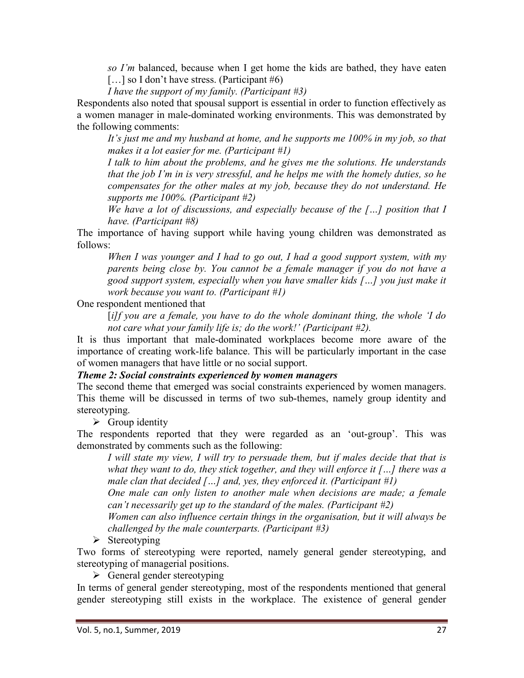so I'm balanced, because when I get home the kids are bathed, they have eaten [...] so I don't have stress. (Participant #6)

I have the support of my family. (Participant  $#3$ )

Respondents also noted that spousal support is essential in order to function effectively as a women manager in male-dominated working environments. This was demonstrated by the following comments:

It's just me and my husband at home, and he supports me 100% in my job, so that makes it a lot easier for me. (Participant  $#1$ )

I talk to him about the problems, and he gives me the solutions. He understands that the job I'm in is very stressful, and he helps me with the homely duties, so he compensates for the other males at my job, because they do not understand. He supports me 100%. (Participant #2)

We have a lot of discussions, and especially because of the  $\lceil \ldots \rceil$  position that  $I$ have. (Participant #8)

The importance of having support while having young children was demonstrated as follows:

When I was younger and I had to go out, I had a good support system, with my parents being close by. You cannot be a female manager if you do not have a good support system, especially when you have smaller kids […] you just make it work because you want to. (Participant #1)

One respondent mentioned that

 $[i]$ f you are a female, you have to do the whole dominant thing, the whole 'I do not care what your family life is; do the work!' (Participant #2).

It is thus important that male-dominated workplaces become more aware of the importance of creating work-life balance. This will be particularly important in the case of women managers that have little or no social support.

#### Theme 2: Social constraints experienced by women managers

The second theme that emerged was social constraints experienced by women managers. This theme will be discussed in terms of two sub-themes, namely group identity and stereotyping.

 $\triangleright$  Group identity

The respondents reported that they were regarded as an 'out-group'. This was demonstrated by comments such as the following:

I will state my view, I will try to persuade them, but if males decide that that is what they want to do, they stick together, and they will enforce it  $[...]$  there was a male clan that decided  $[\dots]$  and, yes, they enforced it. (Participant #1)

One male can only listen to another male when decisions are made; a female can't necessarily get up to the standard of the males. (Participant #2)

Women can also influence certain things in the organisation, but it will always be challenged by the male counterparts. (Participant #3)

 $\triangleright$  Stereotyping

Two forms of stereotyping were reported, namely general gender stereotyping, and stereotyping of managerial positions.

 $\triangleright$  General gender stereotyping

In terms of general gender stereotyping, most of the respondents mentioned that general gender stereotyping still exists in the workplace. The existence of general gender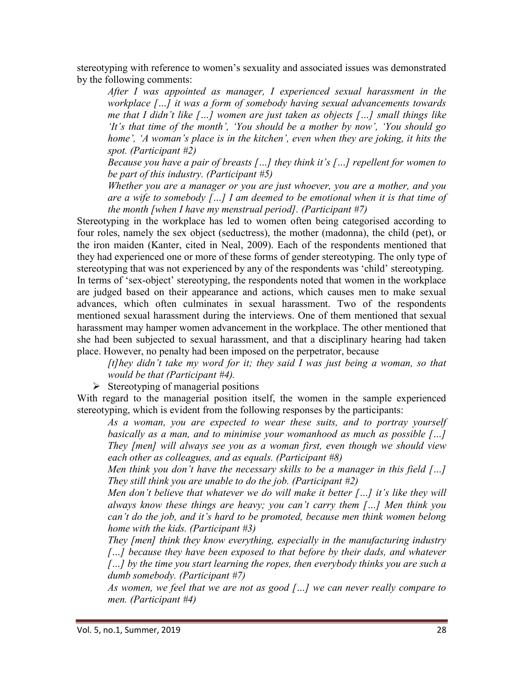stereotyping with reference to women's sexuality and associated issues was demonstrated by the following comments:

After I was appointed as manager, I experienced sexual harassment in the workplace [...] it was a form of somebody having sexual advancements towards me that I didn't like […] women are just taken as objects […] small things like 'It's that time of the month', 'You should be a mother by now', 'You should go home', 'A woman's place is in the kitchen', even when they are joking, it hits the spot. (Participant #2)

Because you have a pair of breasts  $\lceil \ldots \rceil$  they think it's  $\lceil \ldots \rceil$  repellent for women to be part of this industry. (Participant #5)

Whether you are a manager or you are just whoever, you are a mother, and you are a wife to somebody  $\lceil \ldots \rceil$  I am deemed to be emotional when it is that time of the month [when I have my menstrual period]. (Participant #7)

Stereotyping in the workplace has led to women often being categorised according to four roles, namely the sex object (seductress), the mother (madonna), the child (pet), or the iron maiden (Kanter, cited in Neal, 2009). Each of the respondents mentioned that they had experienced one or more of these forms of gender stereotyping. The only type of stereotyping that was not experienced by any of the respondents was 'child' stereotyping. In terms of 'sex-object' stereotyping, the respondents noted that women in the workplace are judged based on their appearance and actions, which causes men to make sexual advances, which often culminates in sexual harassment. Two of the respondents mentioned sexual harassment during the interviews. One of them mentioned that sexual harassment may hamper women advancement in the workplace. The other mentioned that she had been subjected to sexual harassment, and that a disciplinary hearing had taken place. However, no penalty had been imposed on the perpetrator, because

 $[t]$ hey didn't take my word for it; they said I was just being a woman, so that would be that (Participant #4).

 $\triangleright$  Stereotyping of managerial positions

With regard to the managerial position itself, the women in the sample experienced stereotyping, which is evident from the following responses by the participants:

As a woman, you are expected to wear these suits, and to portray yourself basically as a man, and to minimise your womanhood as much as possible [...] They [men] will always see you as a woman first, even though we should view each other as colleagues, and as equals. (Participant #8)

Men think you don't have the necessary skills to be a manager in this field  $[...]$ They still think you are unable to do the job. (Participant  $#2$ )

Men don't believe that whatever we do will make it better  $\lceil \ldots \rceil$  it's like they will always know these things are heavy; you can't carry them  $[...]$  Men think you can't do the job, and it's hard to be promoted, because men think women belong home with the kids. (Participant  $#3$ )

They [men] think they know everything, especially in the manufacturing industry [...] because they have been exposed to that before by their dads, and whatever [...] by the time you start learning the ropes, then everybody thinks you are such a dumb somebody. (Participant #7)

As women, we feel that we are not as good  $[...]$  we can never really compare to men. (Participant #4)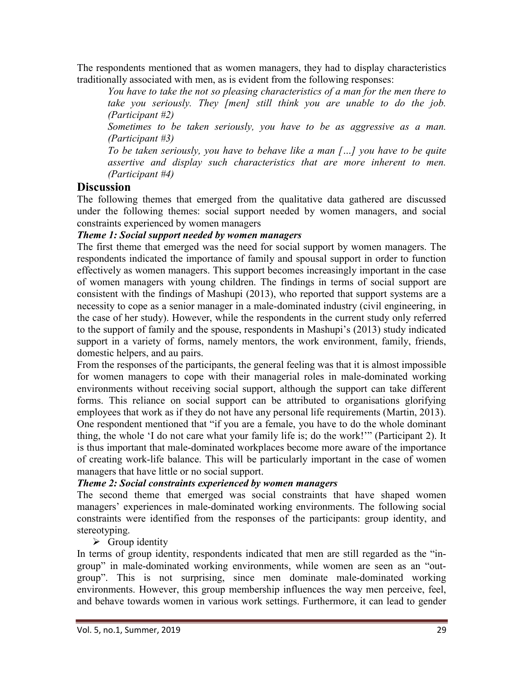The respondents mentioned that as women managers, they had to display characteristics traditionally associated with men, as is evident from the following responses:

You have to take the not so pleasing characteristics of a man for the men there to take you seriously. They [men] still think you are unable to do the job. (Participant #2)

Sometimes to be taken seriously, you have to be as aggressive as a man. (Participant #3)

To be taken seriously, you have to behave like a man […] you have to be quite assertive and display such characteristics that are more inherent to men. (Participant #4)

## **Discussion**

The following themes that emerged from the qualitative data gathered are discussed under the following themes: social support needed by women managers, and social constraints experienced by women managers

#### Theme 1: Social support needed by women managers

The first theme that emerged was the need for social support by women managers. The respondents indicated the importance of family and spousal support in order to function effectively as women managers. This support becomes increasingly important in the case of women managers with young children. The findings in terms of social support are consistent with the findings of Mashupi (2013), who reported that support systems are a necessity to cope as a senior manager in a male-dominated industry (civil engineering, in the case of her study). However, while the respondents in the current study only referred to the support of family and the spouse, respondents in Mashupi's (2013) study indicated support in a variety of forms, namely mentors, the work environment, family, friends, domestic helpers, and au pairs.

From the responses of the participants, the general feeling was that it is almost impossible for women managers to cope with their managerial roles in male-dominated working environments without receiving social support, although the support can take different forms. This reliance on social support can be attributed to organisations glorifying employees that work as if they do not have any personal life requirements (Martin, 2013). One respondent mentioned that "if you are a female, you have to do the whole dominant thing, the whole 'I do not care what your family life is; do the work!'" (Participant 2). It is thus important that male-dominated workplaces become more aware of the importance of creating work-life balance. This will be particularly important in the case of women managers that have little or no social support.

#### Theme 2: Social constraints experienced by women managers

The second theme that emerged was social constraints that have shaped women managers' experiences in male-dominated working environments. The following social constraints were identified from the responses of the participants: group identity, and stereotyping.

 $\triangleright$  Group identity

In terms of group identity, respondents indicated that men are still regarded as the "ingroup" in male-dominated working environments, while women are seen as an "outgroup". This is not surprising, since men dominate male-dominated working environments. However, this group membership influences the way men perceive, feel, and behave towards women in various work settings. Furthermore, it can lead to gender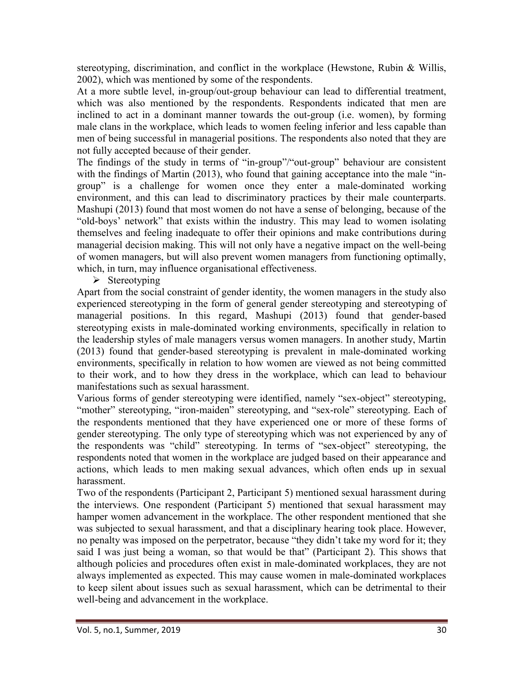stereotyping, discrimination, and conflict in the workplace (Hewstone, Rubin & Willis, 2002), which was mentioned by some of the respondents.

At a more subtle level, in-group/out-group behaviour can lead to differential treatment, which was also mentioned by the respondents. Respondents indicated that men are inclined to act in a dominant manner towards the out-group (i.e. women), by forming male clans in the workplace, which leads to women feeling inferior and less capable than men of being successful in managerial positions. The respondents also noted that they are not fully accepted because of their gender.

The findings of the study in terms of "in-group"/"out-group" behaviour are consistent with the findings of Martin (2013), who found that gaining acceptance into the male "ingroup" is a challenge for women once they enter a male-dominated working environment, and this can lead to discriminatory practices by their male counterparts. Mashupi (2013) found that most women do not have a sense of belonging, because of the "old-boys' network" that exists within the industry. This may lead to women isolating themselves and feeling inadequate to offer their opinions and make contributions during managerial decision making. This will not only have a negative impact on the well-being of women managers, but will also prevent women managers from functioning optimally, which, in turn, may influence organisational effectiveness.

 $\triangleright$  Stereotyping

Apart from the social constraint of gender identity, the women managers in the study also experienced stereotyping in the form of general gender stereotyping and stereotyping of managerial positions. In this regard, Mashupi (2013) found that gender-based stereotyping exists in male-dominated working environments, specifically in relation to the leadership styles of male managers versus women managers. In another study, Martin (2013) found that gender-based stereotyping is prevalent in male-dominated working environments, specifically in relation to how women are viewed as not being committed to their work, and to how they dress in the workplace, which can lead to behaviour manifestations such as sexual harassment.

Various forms of gender stereotyping were identified, namely "sex-object" stereotyping, "mother" stereotyping, "iron-maiden" stereotyping, and "sex-role" stereotyping. Each of the respondents mentioned that they have experienced one or more of these forms of gender stereotyping. The only type of stereotyping which was not experienced by any of the respondents was "child" stereotyping. In terms of "sex-object" stereotyping, the respondents noted that women in the workplace are judged based on their appearance and actions, which leads to men making sexual advances, which often ends up in sexual harassment.

Two of the respondents (Participant 2, Participant 5) mentioned sexual harassment during the interviews. One respondent (Participant 5) mentioned that sexual harassment may hamper women advancement in the workplace. The other respondent mentioned that she was subjected to sexual harassment, and that a disciplinary hearing took place. However, no penalty was imposed on the perpetrator, because "they didn't take my word for it; they said I was just being a woman, so that would be that" (Participant 2). This shows that although policies and procedures often exist in male-dominated workplaces, they are not always implemented as expected. This may cause women in male-dominated workplaces to keep silent about issues such as sexual harassment, which can be detrimental to their well-being and advancement in the workplace.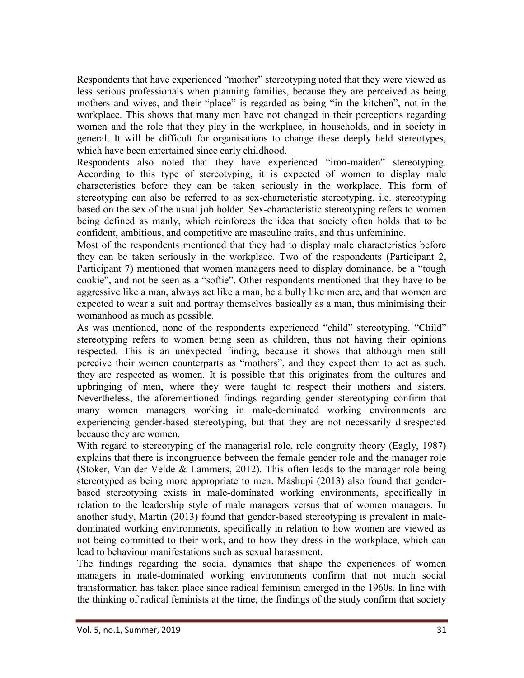Respondents that have experienced "mother" stereotyping noted that they were viewed as less serious professionals when planning families, because they are perceived as being mothers and wives, and their "place" is regarded as being "in the kitchen", not in the workplace. This shows that many men have not changed in their perceptions regarding women and the role that they play in the workplace, in households, and in society in general. It will be difficult for organisations to change these deeply held stereotypes, which have been entertained since early childhood.

Respondents also noted that they have experienced "iron-maiden" stereotyping. According to this type of stereotyping, it is expected of women to display male characteristics before they can be taken seriously in the workplace. This form of stereotyping can also be referred to as sex-characteristic stereotyping, i.e. stereotyping based on the sex of the usual job holder. Sex-characteristic stereotyping refers to women being defined as manly, which reinforces the idea that society often holds that to be confident, ambitious, and competitive are masculine traits, and thus unfeminine.

Most of the respondents mentioned that they had to display male characteristics before they can be taken seriously in the workplace. Two of the respondents (Participant 2, Participant 7) mentioned that women managers need to display dominance, be a "tough cookie", and not be seen as a "softie". Other respondents mentioned that they have to be aggressive like a man, always act like a man, be a bully like men are, and that women are expected to wear a suit and portray themselves basically as a man, thus minimising their womanhood as much as possible.

As was mentioned, none of the respondents experienced "child" stereotyping. "Child" stereotyping refers to women being seen as children, thus not having their opinions respected. This is an unexpected finding, because it shows that although men still perceive their women counterparts as "mothers", and they expect them to act as such, they are respected as women. It is possible that this originates from the cultures and upbringing of men, where they were taught to respect their mothers and sisters. Nevertheless, the aforementioned findings regarding gender stereotyping confirm that many women managers working in male-dominated working environments are experiencing gender-based stereotyping, but that they are not necessarily disrespected because they are women.

With regard to stereotyping of the managerial role, role congruity theory (Eagly, 1987) explains that there is incongruence between the female gender role and the manager role (Stoker, Van der Velde & Lammers, 2012). This often leads to the manager role being stereotyped as being more appropriate to men. Mashupi (2013) also found that genderbased stereotyping exists in male-dominated working environments, specifically in relation to the leadership style of male managers versus that of women managers. In another study, Martin (2013) found that gender-based stereotyping is prevalent in maledominated working environments, specifically in relation to how women are viewed as not being committed to their work, and to how they dress in the workplace, which can lead to behaviour manifestations such as sexual harassment.

The findings regarding the social dynamics that shape the experiences of women managers in male-dominated working environments confirm that not much social transformation has taken place since radical feminism emerged in the 1960s. In line with the thinking of radical feminists at the time, the findings of the study confirm that society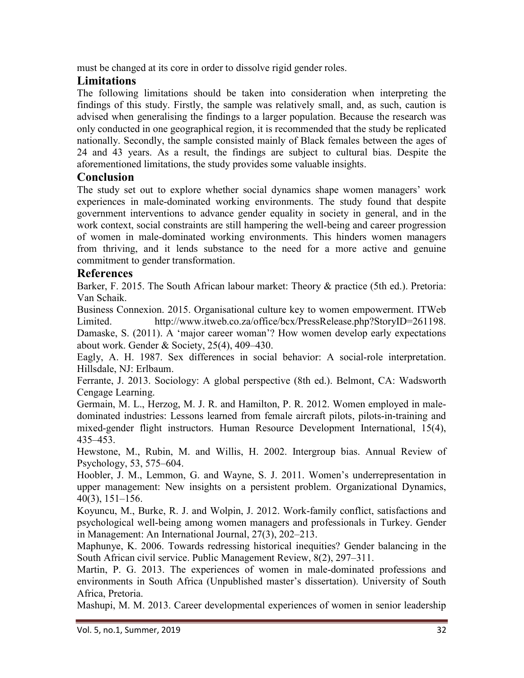must be changed at its core in order to dissolve rigid gender roles.

# Limitations

The following limitations should be taken into consideration when interpreting the findings of this study. Firstly, the sample was relatively small, and, as such, caution is advised when generalising the findings to a larger population. Because the research was only conducted in one geographical region, it is recommended that the study be replicated nationally. Secondly, the sample consisted mainly of Black females between the ages of 24 and 43 years. As a result, the findings are subject to cultural bias. Despite the aforementioned limitations, the study provides some valuable insights.

# Conclusion

The study set out to explore whether social dynamics shape women managers' work experiences in male-dominated working environments. The study found that despite government interventions to advance gender equality in society in general, and in the work context, social constraints are still hampering the well-being and career progression of women in male-dominated working environments. This hinders women managers from thriving, and it lends substance to the need for a more active and genuine commitment to gender transformation.

# References

Barker, F. 2015. The South African labour market: Theory & practice (5th ed.). Pretoria: Van Schaik.

Business Connexion. 2015. Organisational culture key to women empowerment. ITWeb Limited. http://www.itweb.co.za/office/bcx/PressRelease.php?StoryID=261198. Damaske, S. (2011). A 'major career woman'? How women develop early expectations about work. Gender & Society, 25(4), 409–430.

Eagly, A. H. 1987. Sex differences in social behavior: A social-role interpretation. Hillsdale, NJ: Erlbaum.

Ferrante, J. 2013. Sociology: A global perspective (8th ed.). Belmont, CA: Wadsworth Cengage Learning.

Germain, M. L., Herzog, M. J. R. and Hamilton, P. R. 2012. Women employed in maledominated industries: Lessons learned from female aircraft pilots, pilots-in-training and mixed-gender flight instructors. Human Resource Development International, 15(4), 435–453.

Hewstone, M., Rubin, M. and Willis, H. 2002. Intergroup bias. Annual Review of Psychology, 53, 575–604.

Hoobler, J. M., Lemmon, G. and Wayne, S. J. 2011. Women's underrepresentation in upper management: New insights on a persistent problem. Organizational Dynamics, 40(3), 151–156.

Koyuncu, M., Burke, R. J. and Wolpin, J. 2012. Work-family conflict, satisfactions and psychological well-being among women managers and professionals in Turkey. Gender in Management: An International Journal, 27(3), 202–213.

Maphunye, K. 2006. Towards redressing historical inequities? Gender balancing in the South African civil service. Public Management Review, 8(2), 297–311.

Martin, P. G. 2013. The experiences of women in male-dominated professions and environments in South Africa (Unpublished master's dissertation). University of South Africa, Pretoria.

Mashupi, M. M. 2013. Career developmental experiences of women in senior leadership